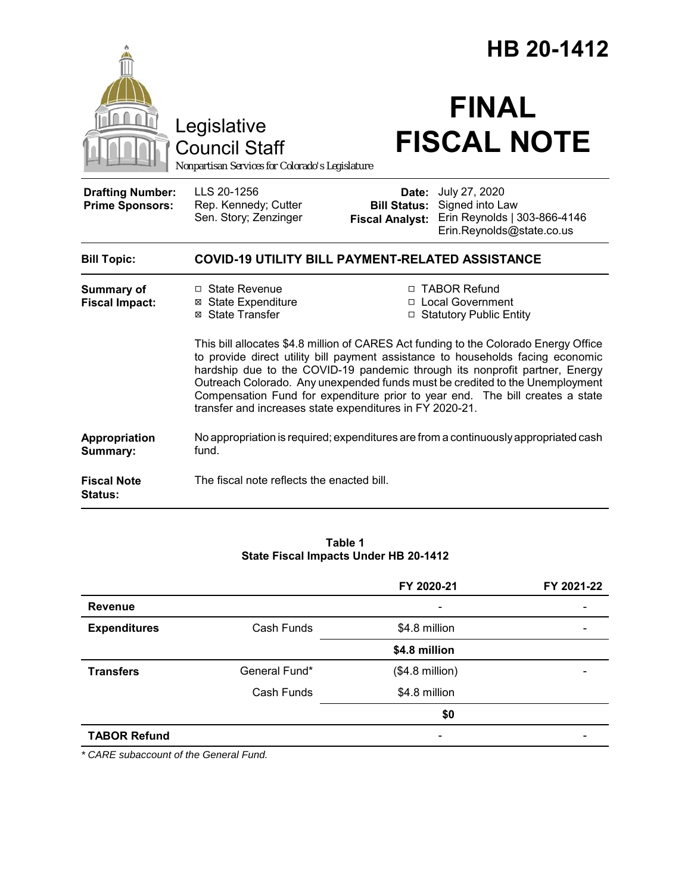|                                                   |                                                                                                                                                                                                                                                                                                                                                                                                                                                                                     | HB 20-1412                                             |                                                                                               |  |
|---------------------------------------------------|-------------------------------------------------------------------------------------------------------------------------------------------------------------------------------------------------------------------------------------------------------------------------------------------------------------------------------------------------------------------------------------------------------------------------------------------------------------------------------------|--------------------------------------------------------|-----------------------------------------------------------------------------------------------|--|
|                                                   | Legislative<br><b>Council Staff</b><br>Nonpartisan Services for Colorado's Legislature                                                                                                                                                                                                                                                                                                                                                                                              |                                                        | <b>FINAL</b><br><b>FISCAL NOTE</b>                                                            |  |
| <b>Drafting Number:</b><br><b>Prime Sponsors:</b> | LLS 20-1256<br>Rep. Kennedy; Cutter<br>Sen. Story; Zenzinger                                                                                                                                                                                                                                                                                                                                                                                                                        | Date:<br><b>Bill Status:</b><br><b>Fiscal Analyst:</b> | July 27, 2020<br>Signed into Law<br>Erin Reynolds   303-866-4146<br>Erin.Reynolds@state.co.us |  |
| <b>Bill Topic:</b>                                | <b>COVID-19 UTILITY BILL PAYMENT-RELATED ASSISTANCE</b>                                                                                                                                                                                                                                                                                                                                                                                                                             |                                                        |                                                                                               |  |
| <b>Summary of</b><br><b>Fiscal Impact:</b>        | □ State Revenue<br>⊠ State Expenditure<br>⊠ State Transfer                                                                                                                                                                                                                                                                                                                                                                                                                          |                                                        | □ TABOR Refund<br>□ Local Government<br>□ Statutory Public Entity                             |  |
|                                                   | This bill allocates \$4.8 million of CARES Act funding to the Colorado Energy Office<br>to provide direct utility bill payment assistance to households facing economic<br>hardship due to the COVID-19 pandemic through its nonprofit partner, Energy<br>Outreach Colorado. Any unexpended funds must be credited to the Unemployment<br>Compensation Fund for expenditure prior to year end. The bill creates a state<br>transfer and increases state expenditures in FY 2020-21. |                                                        |                                                                                               |  |
| Appropriation<br>Summary:                         | No appropriation is required; expenditures are from a continuously appropriated cash<br>fund.                                                                                                                                                                                                                                                                                                                                                                                       |                                                        |                                                                                               |  |
| <b>Fiscal Note</b><br>Status:                     | The fiscal note reflects the enacted bill.                                                                                                                                                                                                                                                                                                                                                                                                                                          |                                                        |                                                                                               |  |

#### **Table 1 State Fiscal Impacts Under HB 20-1412**

|                     |               | FY 2020-21       | FY 2021-22 |
|---------------------|---------------|------------------|------------|
| <b>Revenue</b>      |               |                  |            |
| <b>Expenditures</b> | Cash Funds    | \$4.8 million    |            |
|                     |               | \$4.8 million    |            |
| <b>Transfers</b>    | General Fund* | $($4.8$ million) |            |
|                     | Cash Funds    | \$4.8 million    |            |
|                     |               | \$0              |            |
| <b>TABOR Refund</b> |               |                  |            |
|                     |               |                  |            |

*\* CARE subaccount of the General Fund.*